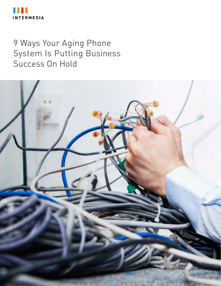

#### 9 Ways Your Aging Phone System Is Putting Business Success On Hold

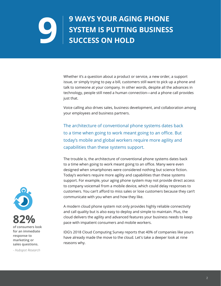## **9 WAYS YOUR AGING PHONE SYSTEM IS PUTTING BUSINESS SUCCESS ON HOLD**

Whether it's a question about a product or service, a new order, a support issue, or simply trying to pay a bill, customers still want to pick up a phone and talk to someone at your company. In other words, despite all the advances in technology, people still need a human connection—and a phone call provides just that.

Voice calling also drives sales, business development, and collaboration among your employees and business partners.

The architecture of conventional phone systems dates back to a time when going to work meant going to an office. But today's mobile and global workers require more agility and capabilities than these systems support.

The trouble is, the architecture of conventional phone systems dates back to a time when going to work meant going to an office. Many were even designed when smartphones were considered nothing but science fiction. Today's workers require more agility and capabilities than these systems support. For example, your aging phone system may not provide direct access to company voicemail from a mobile device, which could delay responses to customers. You can't afford to miss sales or lose customers because they can't communicate with you when and how they like.

A modern cloud phone system not only provides highly reliable connectivity and call quality but is also easy to deploy and simple to maintain. Plus, the cloud delivers the agility and advanced features your business needs to keep pace with impatient consumers and mobile workers.

IDG's 2018 Cloud Computing Survey reports that 40% of companies like yours have already made the move to the cloud. Let's take a deeper look at nine reasons why.



**of consumers look for an immediate response to marketing or sales questions.**

*- Hubspot Research*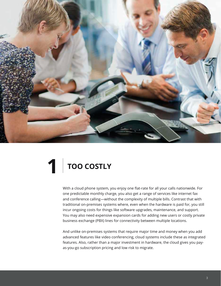

### **1 TOO COSTLY**

With a cloud phone system, you enjoy one flat-rate for all your calls nationwide. For one predictable monthly charge, you also get a range of services like internet fax and conference calling—without the complexity of multiple bills. Contrast that with traditional on-premises systems where, even when the hardware is paid for, you still incur ongoing costs for things like software upgrades, maintenance, and support. You may also need expensive expansion cards for adding new users or costly private business exchange (PBX) lines for connectivity between multiple locations.

And unlike on-premises systems that require major time and money when you add advanced features like video conferencing, cloud systems include these as integrated features. Also, rather than a major investment in hardware, the cloud gives you payas-you-go subscription pricing and low risk to migrate.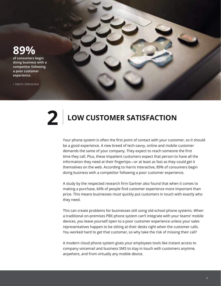#### **89%**

**of consumers begin doing business with a competitor following a poor customer experience.**

**-** *Harris Interactive*



### **2 LOW CUSTOMER SATISFACTION**

Your phone system is often the first point of contact with your customer, so it should be a good experience. A new breed of tech-savvy, online and mobile customer demands the same of your company. They expect to reach someone the first time they call. Plus, these impatient customers expect that person to have all the information they need at their fingertips—or at least as fast as they could get it themselves on the web. According to Harris Interactive, 89% of consumers begin doing business with a competitor following a poor customer experience.

A study by the respected research firm Gartner also found that when it comes to making a purchase, 64% of people find customer experience more important than price. This means businesses must quickly put customers in touch with exactly who they need.

This can create problems for businesses still using old-school phone systems. When a traditional on-premises PBX phone system can't integrate with your teams' mobile devices, you leave yourself open to a poor customer experience unless your sales representatives happen to be sitting at their desks right when the customer calls. You worked hard to get that customer, so why take the risk of missing their call?

A modern cloud phone system gives your employees tools like instant access to company voicemail and business SMS to stay in touch with customers anytime, anywhere, and from virtually any mobile device.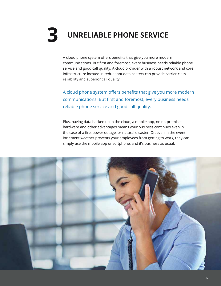## **3 UNRELIABLE PHONE SERVICE**

A cloud phone system offers benefits that give you more modern communications. But first and foremost, every business needs reliable phone service and good call quality. A cloud provider with a robust network and core infrastructure located in redundant data centers can provide carrier-class reliability and superior call quality.

A cloud phone system offers benefits that give you more modern communications. But first and foremost, every business needs reliable phone service and good call quality.

Plus, having data backed up in the cloud, a mobile app, no on-premises hardware and other advantages means your business continues even in the case of a fire, power outage, or natural disaster. Or, even in the event inclement weather prevents your employees from getting to work, they can simply use the mobile app or softphone, and it's business as usual.

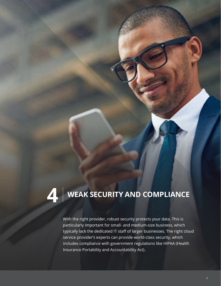### **4 WEAK SECURITY AND COMPLIANCE**

With the right provider, robust security protects your data. This is particularly important for small- and medium-size business, which typically lack the dedicated IT staff of larger businesses. The right cloud service provider's experts can provide world-class security, which includes compliance with government regulations like HIPAA (Health Insurance Portability and Accountability Act).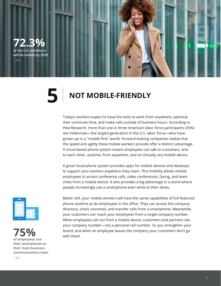#### **72.3% of the U.S. workforce**

**will be mobile by 2020.** *- IDC*

#### **5** NOT MOBILE-FRIENDLY

Today's workers expect to have the tools to work from anywhere, optimize their commute time, and make calls outside of business hours. According to Pew Research, more than one in three American labor force participants (35%) are millennials—the largest generation in the U.S. labor force—who have grown up in a "mobile-first" world. Forward-looking companies realize that the speed and agility these mobile workers provide offer a distinct advantage. A cloud-based phone system means employees can talk to customers, and to each other, anytime, from anywhere, and on virtually any mobile device.

A good cloud phone system provides apps for mobile devices and desktops to support your workers anywhere they roam. This mobility allows mobile employees to access conference calls, video conferences, faxing, and team chats from a mobile device. It also provides a big advantage in a world where people increasingly use a smartphone even while at their desks.





Better still, your mobile workers will have the same capabilities of full-featured phone systems as do employees in the office. They can access the company directory, check voicemail, and transfer calls from a smartphone. Meanwhile, your customers can reach your employees from a single company number. When employees call out from a mobile device, customers and partners see your company number—not a personal cell number. So you strengthen your **75%** brand, and when an employee leaves the company your customers don't go with them.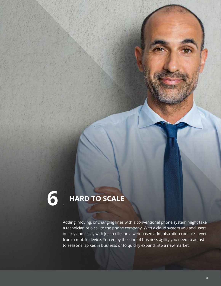# **6 HARD TO SCALE**

Adding, moving, or changing lines with a conventional phone system might take a technician or a call to the phone company. With a cloud system you add users quickly and easily with just a click on a web-based administration console—even from a mobile device. You enjoy the kind of business agility you need to adjust to seasonal spikes in business or to quickly expand into a new market.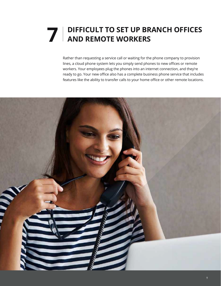# **THE PROPER WORKERS PROPER AND REMOTE WORKERS**

Rather than requesting a service call or waiting for the phone company to provision lines, a cloud phone system lets you simply send phones to new offices or remote workers. Your employees plug the phones into an internet connection, and they're ready to go. Your new office also has a complete business phone service that includes features like the ability to transfer calls to your home office or other remote locations.

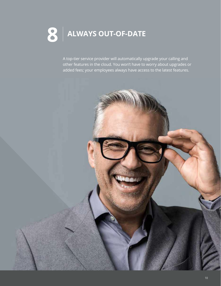# **8 ALWAYS OUT-OF-DATE**

A top-tier service provider will automatically upgrade your calling and other features in the cloud. You won't have to worry about upgrades or added fees; your employees always have access to the latest features.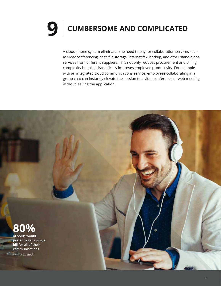## **9** CUMBERSOME AND COMPLICATED

A cloud phone system eliminates the need to pay for collaboration services such as videoconferencing, chat, file storage, internet fax, backup, and other stand-alone services from different suppliers. This not only reduces procurement and billing complexity but also dramatically improves employee productivity. For example, with an integrated cloud communications service, employees collaborating in a group chat can instantly elevate the session to a videoconference or web meeting without leaving the application.

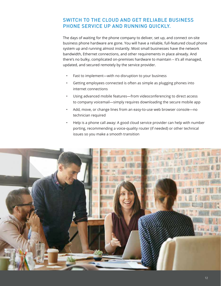#### SWITCH TO THE CLOUD AND GET RELIABLE BUSINESS PHONE SERVICE UP AND RUNNING QUICKLY.

The days of waiting for the phone company to deliver, set up, and connect on-site business phone hardware are gone. You will have a reliable, full-featured cloud phone system up and running almost instantly. Most small businesses have the network bandwidth, Ethernet connections, and other requirements in place already. And there's no bulky, complicated on-premises hardware to maintain – it's all managed, updated, and secured remotely by the service provider.

- Fast to implement—with no disruption to your business
- Getting employees connected is often as simple as plugging phones into internet connections
- Using advanced mobile features—from videoconferencing to direct access to company voicemail—simply requires downloading the secure mobile app
- Add, move, or change lines from an easy-to-use web browser console—no technician required
- Help is a phone call away: A good cloud service provider can help with number porting, recommending a voice-quality router (if needed) or other technical issues so you make a smooth transition